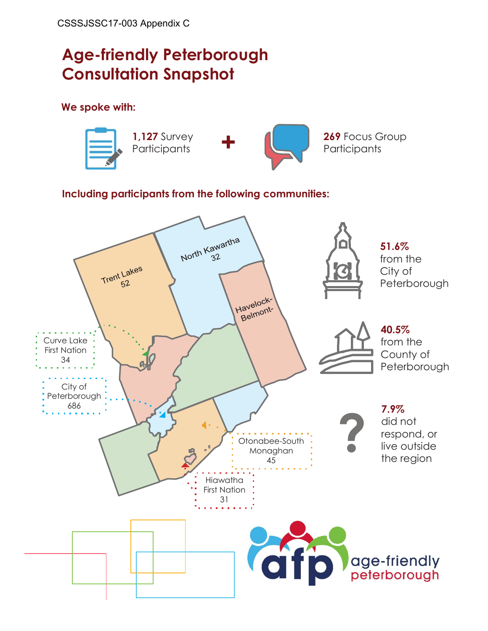# **Age-friendly Peterborough Consultation Snapshot**

**We spoke with:**



### **Including participants from the following communities:**

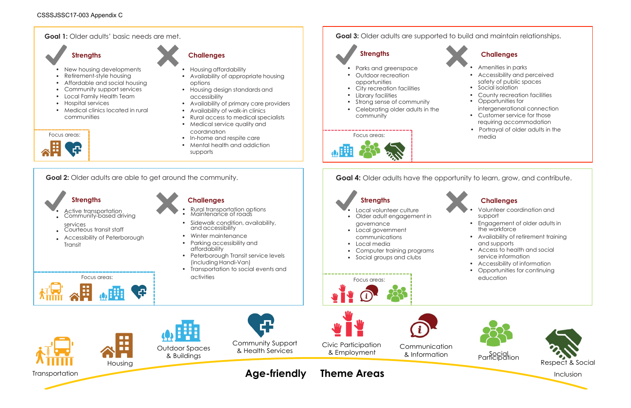



- 
- 
- 
- 
- 
- requiring accommodation
- Portrayal of older adults in the

- 
- 
- 
- 
- Accessibility of information
- Opportunities for continuing